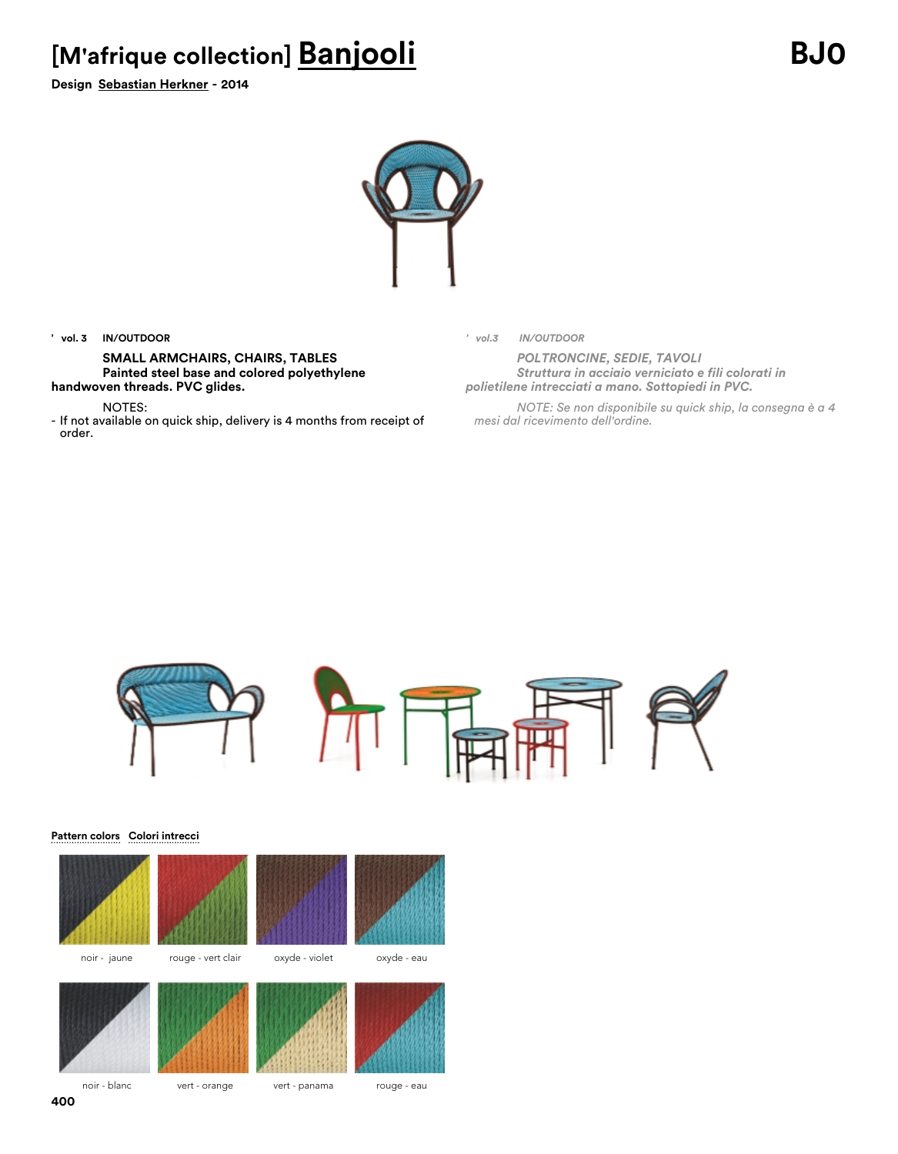## **[M'afrique collection] Banjooli BJ0**

**Design Sebastian Herkner - 2014**



### **' vol. 3 IN/OUTDOOR**

**SMALL ARMCHAIRS, CHAIRS, TABLES Painted steel base and colored polyethylene handwoven threads. PVC glides.**

NOTES:

- If not available on quick ship, delivery is 4 months from receipt of order.

*' vol.3 IN/OUTDOOR*

*POLTRONCINE, SEDIE, TAVOLI Struttura in acciaio verniciato e fili colorati in polietilene intrecciati a mano. Sottopiedi in PVC.*

*NOTE: Se non disponibile su quick ship, la consegna è a 4 mesi dal ricevimento dell'ordine.*



#### **Pattern colors Colori intrecci**









noir - blanc vert - orange vert - panama rouge - eau

**400**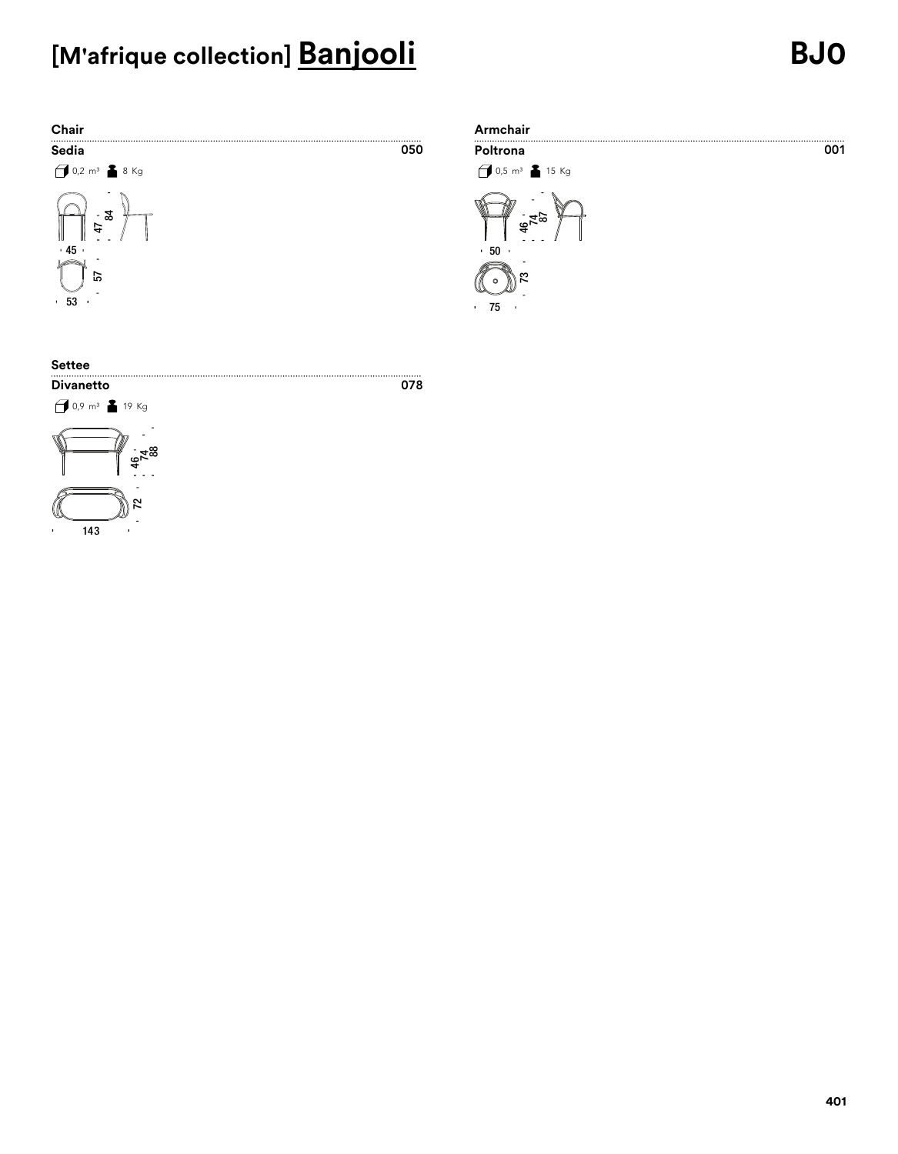# **[M'afrique collection] Banjooli BJ0**





### **Settee**

### 0,9 m³ 19 Kg**Divanetto**